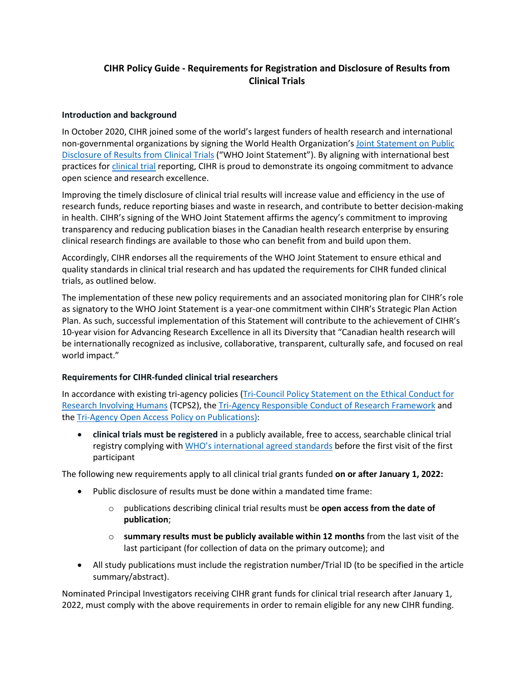## **CIHR Policy Guide - Requirements for Registration and Disclosure of Results from Clinical Trials**

## **Introduction and background**

In October 2020, CIHR joined some of the world's largest funders of health research and international non-governmental organizations by signing the World Health Organization's [Joint Statement on Public](https://www.who.int/news/item/18-05-2017-joint-statement-on-registration)  [Disclosure of Results from Clinical Trials](https://www.who.int/news/item/18-05-2017-joint-statement-on-registration) ("WHO Joint Statement"). By aligning with international best practices for [clinical trial](https://cihr-irsc.gc.ca/e/34190.html#c10) reporting, CIHR is proud to demonstrate its ongoing commitment to advance open science and research excellence.

Improving the timely disclosure of clinical trial results will increase value and efficiency in the use of research funds, reduce reporting biases and waste in research, and contribute to better decision-making in health. CIHR's signing of the WHO Joint Statement affirms the agency's commitment to improving transparency and reducing publication biases in the Canadian health research enterprise by ensuring clinical research findings are available to those who can benefit from and build upon them.

Accordingly, CIHR endorses all the requirements of the WHO Joint Statement to ensure ethical and quality standards in clinical trial research and has updated the requirements for CIHR funded clinical trials, as outlined below.

The implementation of these new policy requirements and an associated monitoring plan for CIHR's role as signatory to the WHO Joint Statement is a year-one commitment within CIHR's Strategic Plan Action Plan. As such, successful implementation of this Statement will contribute to the achievement of CIHR's 10-year vision for Advancing Research Excellence in all its Diversity that "Canadian health research will be internationally recognized as inclusive, collaborative, transparent, culturally safe, and focused on real world impact."

## **Requirements for CIHR-funded clinical trial researchers**

In accordance with existing tri-agency policies [\(Tri-Council Policy Statement on the Ethical Conduct for](https://ethics.gc.ca/eng/policy-politique_tcps2-eptc2_2018.html)  [Research Involving Humans](https://ethics.gc.ca/eng/policy-politique_tcps2-eptc2_2018.html) (TCPS2), the [Tri-Agency Responsible Conduct of Research Framework](https://rcr.ethics.gc.ca/eng/framework-cadre-2021.html) and the [Tri-Agency Open Access Policy on Publications\)](http://science.gc.ca/eic/site/063.nsf/eng/h_F6765465.html?OpenDocument):

• **clinical trials must be registered** in a publicly available, free to access, searchable clinical trial registry complying with [WHO's international agreed standards](https://www.who.int/clinical-trials-registry-platform/network/trial-registration) before the first visit of the first participant

The following new requirements apply to all clinical trial grants funded **on or after January 1, 2022:**

- Public disclosure of results must be done within a mandated time frame:
	- o publications describing clinical trial results must be **open access from the date of publication**;
	- o **summary results must be publicly available within 12 months** from the last visit of the last participant (for collection of data on the primary outcome); and
- All study publications must include the registration number/Trial ID (to be specified in the article summary/abstract).

Nominated Principal Investigators receiving CIHR grant funds for clinical trial research after January 1, 2022, must comply with the above requirements in order to remain eligible for any new CIHR funding.